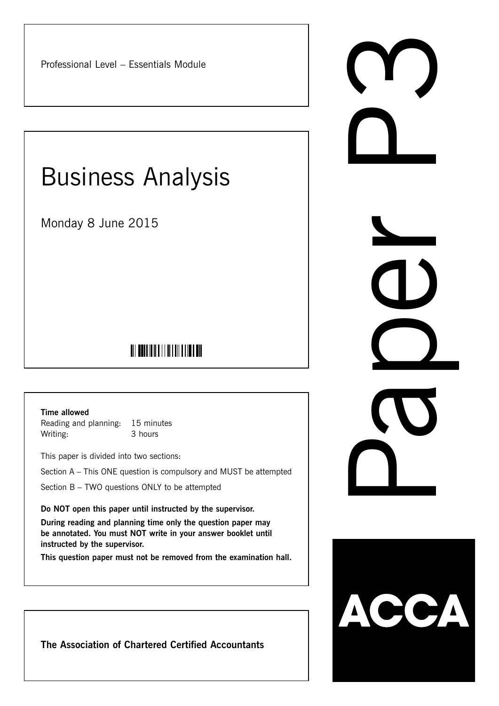Professional Level – Essentials Module

# Business Analysis

Monday 8 June 2015

# <u> Ali adallah bili di ini bila dil</u>

Paper Paper

XCA

 $\Delta$ 

#### **Time allowed**

Reading and planning: 15 minutes Writing: 3 hours

This paper is divided into two sections:

Section A – This ONE question is compulsory and MUST be attempted

Section B – TWO questions ONLY to be attempted

**Do NOT open this paper until instructed by the supervisor.**

**During reading and planning time only the question paper may be annotated. You must NOT write in your answer booklet until instructed by the supervisor.**

**This question paper must not be removed from the examination hall.**

# **The Association of Chartered Certified Accountants**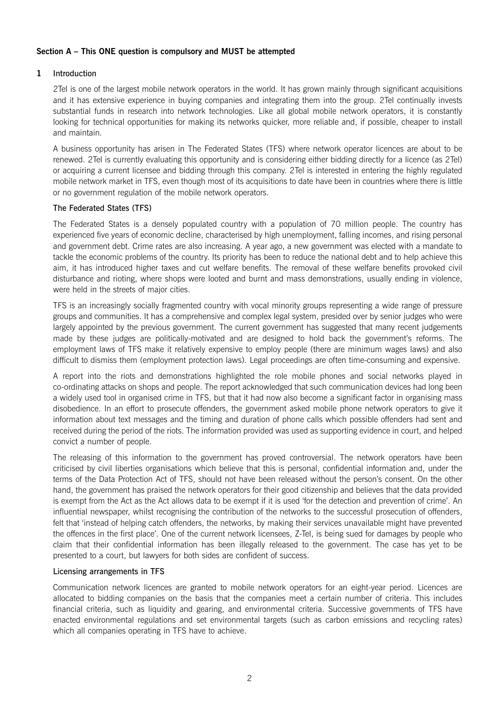# **Section A – This ONE question is compulsory and MUST be attempted**

# **1** Introduction

2Tel is one of the largest mobile network operators in the world. It has grown mainly through significant acquisitions and it has extensive experience in buying companies and integrating them into the group. 2Tel continually invests substantial funds in research into network technologies. Like all global mobile network operators, it is constantly looking for technical opportunities for making its networks quicker, more reliable and, if possible, cheaper to install and maintain.

A business opportunity has arisen in The Federated States (TFS) where network operator licences are about to be renewed. 2Tel is currently evaluating this opportunity and is considering either bidding directly for a licence (as 2Tel) or acquiring a current licensee and bidding through this company. 2Tel is interested in entering the highly regulated mobile network market in TFS, even though most of its acquisitions to date have been in countries where there is little or no government regulation of the mobile network operators.

# The Federated States (TFS)

The Federated States is a densely populated country with a population of 70 million people. The country has experienced five years of economic decline, characterised by high unemployment, falling incomes, and rising personal and government debt. Crime rates are also increasing. A year ago, a new government was elected with a mandate to tackle the economic problems of the country. Its priority has been to reduce the national debt and to help achieve this aim, it has introduced higher taxes and cut welfare benefits. The removal of these welfare benefits provoked civil disturbance and rioting, where shops were looted and burnt and mass demonstrations, usually ending in violence, were held in the streets of major cities.

TFS is an increasingly socially fragmented country with vocal minority groups representing a wide range of pressure groups and communities. It has a comprehensive and complex legal system, presided over by senior judges who were largely appointed by the previous government. The current government has suggested that many recent judgements made by these judges are politically-motivated and are designed to hold back the government's reforms. The employment laws of TFS make it relatively expensive to employ people (there are minimum wages laws) and also difficult to dismiss them (employment protection laws). Legal proceedings are often time-consuming and expensive.

A report into the riots and demonstrations highlighted the role mobile phones and social networks played in co-ordinating attacks on shops and people. The report acknowledged that such communication devices had long been a widely used tool in organised crime in TFS, but that it had now also become a significant factor in organising mass disobedience. In an effort to prosecute offenders, the government asked mobile phone network operators to give it information about text messages and the timing and duration of phone calls which possible offenders had sent and received during the period of the riots. The information provided was used as supporting evidence in court, and helped convict a number of people.

The releasing of this information to the government has proved controversial. The network operators have been criticised by civil liberties organisations which believe that this is personal, confidential information and, under the terms of the Data Protection Act of TFS, should not have been released without the person's consent. On the other hand, the government has praised the network operators for their good citizenship and believes that the data provided is exempt from the Act as the Act allows data to be exempt if it is used 'for the detection and prevention of crime'. An influential newspaper, whilst recognising the contribution of the networks to the successful prosecution of offenders, felt that 'instead of helping catch offenders, the networks, by making their services unavailable might have prevented the offences in the first place'. One of the current network licensees, Z-Tel, is being sued for damages by people who claim that their confidential information has been illegally released to the government. The case has yet to be presented to a court, but lawyers for both sides are confident of success.

# Licensing arrangements in TFS

Communication network licences are granted to mobile network operators for an eight-year period. Licences are allocated to bidding companies on the basis that the companies meet a certain number of criteria. This includes financial criteria, such as liquidity and gearing, and environmental criteria. Successive governments of TFS have enacted environmental regulations and set environmental targets (such as carbon emissions and recycling rates) which all companies operating in TFS have to achieve.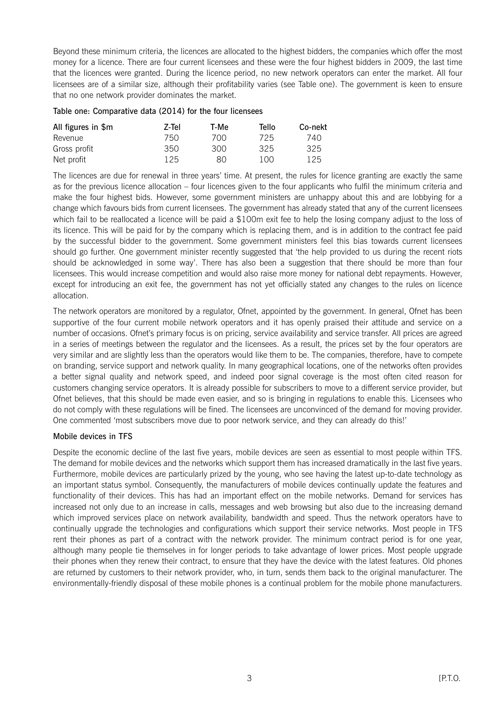Beyond these minimum criteria, the licences are allocated to the highest bidders, the companies which offer the most money for a licence. There are four current licensees and these were the four highest bidders in 2009, the last time that the licences were granted. During the licence period, no new network operators can enter the market. All four licensees are of a similar size, although their profitability varies (see Table one). The government is keen to ensure that no one network provider dominates the market.

#### Table one: Comparative data (2014) for the four licensees

| All figures in \$m | Z-Tel | T-Me | Tello | Co-nekt |
|--------------------|-------|------|-------|---------|
| Revenue            | 750   | 700. | 725   | 740.    |
| Gross profit       | 350   | 300  | 325   | 325     |
| Net profit         | 125   | 80   | 100   | 125     |

The licences are due for renewal in three years' time. At present, the rules for licence granting are exactly the same as for the previous licence allocation – four licences given to the four applicants who fulfil the minimum criteria and make the four highest bids. However, some government ministers are unhappy about this and are lobbying for a change which favours bids from current licensees. The government has already stated that any of the current licensees which fail to be reallocated a licence will be paid a \$100m exit fee to help the losing company adjust to the loss of its licence. This will be paid for by the company which is replacing them, and is in addition to the contract fee paid by the successful bidder to the government. Some government ministers feel this bias towards current licensees should go further. One government minister recently suggested that 'the help provided to us during the recent riots should be acknowledged in some way'. There has also been a suggestion that there should be more than four licensees. This would increase competition and would also raise more money for national debt repayments. However, except for introducing an exit fee, the government has not yet officially stated any changes to the rules on licence allocation.

The network operators are monitored by a regulator, Ofnet, appointed by the government. In general, Ofnet has been supportive of the four current mobile network operators and it has openly praised their attitude and service on a number of occasions. Ofnet's primary focus is on pricing, service availability and service transfer. All prices are agreed in a series of meetings between the regulator and the licensees. As a result, the prices set by the four operators are very similar and are slightly less than the operators would like them to be. The companies, therefore, have to compete on branding, service support and network quality. In many geographical locations, one of the networks often provides a better signal quality and network speed, and indeed poor signal coverage is the most often cited reason for customers changing service operators. It is already possible for subscribers to move to a different service provider, but Ofnet believes, that this should be made even easier, and so is bringing in regulations to enable this. Licensees who do not comply with these regulations will be fined. The licensees are unconvinced of the demand for moving provider. One commented 'most subscribers move due to poor network service, and they can already do this!'

# Mobile devices in TFS

Despite the economic decline of the last five years, mobile devices are seen as essential to most people within TFS. The demand for mobile devices and the networks which support them has increased dramatically in the last five years. Furthermore, mobile devices are particularly prized by the young, who see having the latest up-to-date technology as an important status symbol. Consequently, the manufacturers of mobile devices continually update the features and functionality of their devices. This has had an important effect on the mobile networks. Demand for services has increased not only due to an increase in calls, messages and web browsing but also due to the increasing demand which improved services place on network availability, bandwidth and speed. Thus the network operators have to continually upgrade the technologies and configurations which support their service networks. Most people in TFS rent their phones as part of a contract with the network provider. The minimum contract period is for one year, although many people tie themselves in for longer periods to take advantage of lower prices. Most people upgrade their phones when they renew their contract, to ensure that they have the device with the latest features. Old phones are returned by customers to their network provider, who, in turn, sends them back to the original manufacturer. The environmentally-friendly disposal of these mobile phones is a continual problem for the mobile phone manufacturers.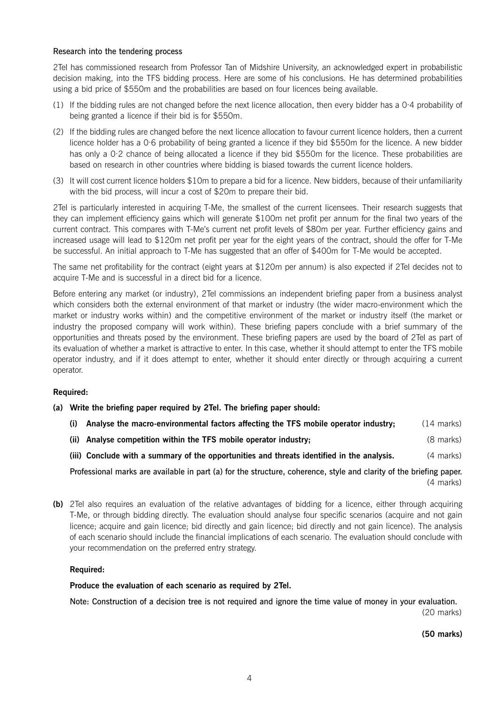#### Research into the tendering process

2Tel has commissioned research from Professor Tan of Midshire University, an acknowledged expert in probabilistic decision making, into the TFS bidding process. Here are some of his conclusions. He has determined probabilities using a bid price of \$550m and the probabilities are based on four licences being available.

- (1) If the bidding rules are not changed before the next licence allocation, then every bidder has a 0·4 probability of being granted a licence if their bid is for \$550m.
- (2) If the bidding rules are changed before the next licence allocation to favour current licence holders, then a current licence holder has a 0·6 probability of being granted a licence if they bid \$550m for the licence. A new bidder has only a 0.2 chance of being allocated a licence if they bid \$550m for the licence. These probabilities are based on research in other countries where bidding is biased towards the current licence holders.
- (3) It will cost current licence holders \$10m to prepare a bid for a licence. New bidders, because of their unfamiliarity with the bid process, will incur a cost of \$20m to prepare their bid.

2Tel is particularly interested in acquiring T-Me, the smallest of the current licensees. Their research suggests that they can implement efficiency gains which will generate \$100m net profit per annum for the final two years of the current contract. This compares with T-Me's current net profit levels of \$80m per year. Further efficiency gains and increased usage will lead to \$120m net profit per year for the eight years of the contract, should the offer for T-Me be successful. An initial approach to T-Me has suggested that an offer of \$400m for T-Me would be accepted.

The same net profitability for the contract (eight years at \$120m per annum) is also expected if 2Tel decides not to acquire T-Me and is successful in a direct bid for a licence.

Before entering any market (or industry), 2Tel commissions an independent briefing paper from a business analyst which considers both the external environment of that market or industry (the wider macro-environment which the market or industry works within) and the competitive environment of the market or industry itself (the market or industry the proposed company will work within). These briefing papers conclude with a brief summary of the opportunities and threats posed by the environment. These briefing papers are used by the board of 2Tel as part of its evaluation of whether a market is attractive to enter. In this case, whether it should attempt to enter the TFS mobile operator industry, and if it does attempt to enter, whether it should enter directly or through acquiring a current operator.

# **Required:**

- **(a) Write the briefing paper required by 2Tel. The briefing paper should:**
	- **(i) Analyse the macro-environmental factors affecting the TFS mobile operator industry;** (14 marks)
	- **(ii) Analyse competition within the TFS mobile operator industry;** (8 marks) (8 marks)
	- **(iii) Conclude with a summary of the opportunities and threats identified in the analysis.** (4 marks)

Professional marks are available in part (a) for the structure, coherence, style and clarity of the briefing paper. (4 marks)

**(b)** 2Tel also requires an evaluation of the relative advantages of bidding for a licence, either through acquiring T-Me, or through bidding directly. The evaluation should analyse four specific scenarios (acquire and not gain licence; acquire and gain licence; bid directly and gain licence; bid directly and not gain licence). The analysis of each scenario should include the financial implications of each scenario. The evaluation should conclude with your recommendation on the preferred entry strategy.

#### **Required:**

#### **Produce the evaluation of each scenario as required by 2Tel.**

Note: Construction of a decision tree is not required and ignore the time value of money in your evaluation. (20 marks)

#### **(50 marks)**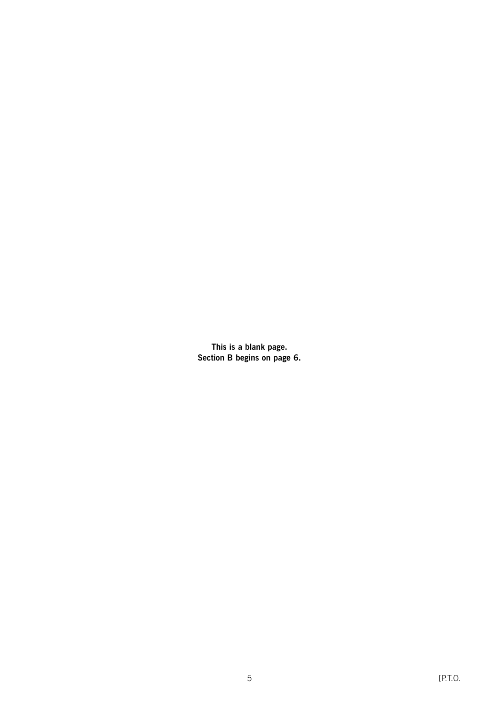**This is a blank page. Section B begins on page 6.**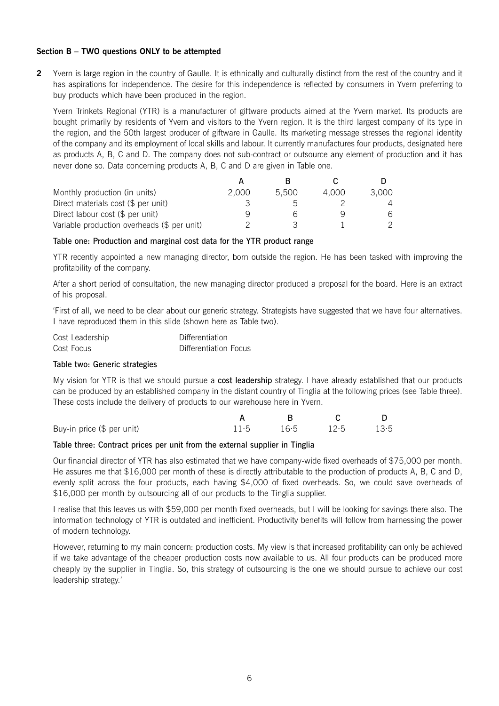# **Section B – TWO questions ONLY to be attempted**

**2** Yvern is large region in the country of Gaulle. It is ethnically and culturally distinct from the rest of the country and it has aspirations for independence. The desire for this independence is reflected by consumers in Yvern preferring to buy products which have been produced in the region.

Yvern Trinkets Regional (YTR) is a manufacturer of giftware products aimed at the Yvern market. Its products are bought primarily by residents of Yvern and visitors to the Yvern region. It is the third largest company of its type in the region, and the 50th largest producer of giftware in Gaulle. Its marketing message stresses the regional identity of the company and its employment of local skills and labour. It currently manufactures four products, designated here as products A, B, C and D. The company does not sub-contract or outsource any element of production and it has never done so. Data concerning products A, B, C and D are given in Table one.

| Monthly production (in units)               | 2.000 | 5.500 | 4.000 | 3.000 |
|---------------------------------------------|-------|-------|-------|-------|
| Direct materials cost (\$ per unit)         |       |       |       |       |
| Direct labour cost $(\$$ per unit)          |       |       |       | 6     |
| Variable production overheads (\$ per unit) |       |       |       |       |

#### Table one: Production and marginal cost data for the YTR product range

YTR recently appointed a new managing director, born outside the region. He has been tasked with improving the profitability of the company.

After a short period of consultation, the new managing director produced a proposal for the board. Here is an extract of his proposal.

'First of all, we need to be clear about our generic strategy. Strategists have suggested that we have four alternatives. I have reproduced them in this slide (shown here as Table two).

| Cost Leadership | Differentiation       |
|-----------------|-----------------------|
| Cost Focus      | Differentiation Focus |

#### Table two: Generic strategies

My vision for YTR is that we should pursue a cost leadership strategy. I have already established that our products can be produced by an established company in the distant country of Tinglia at the following prices (see Table three). These costs include the delivery of products to our warehouse here in Yvern.

| Buy-in price (\$ per unit) |  | $11.5$ $16.5$ $12.5$ $13.5$ |  |
|----------------------------|--|-----------------------------|--|

# Table three: Contract prices per unit from the external supplier in Tinglia

Our financial director of YTR has also estimated that we have company-wide fixed overheads of \$75,000 per month. He assures me that \$16,000 per month of these is directly attributable to the production of products A, B, C and D, evenly split across the four products, each having \$4,000 of fixed overheads. So, we could save overheads of \$16,000 per month by outsourcing all of our products to the Tinglia supplier.

I realise that this leaves us with \$59,000 per month fixed overheads, but I will be looking for savings there also. The information technology of YTR is outdated and inefficient. Productivity benefits will follow from harnessing the power of modern technology.

However, returning to my main concern: production costs. My view is that increased profitability can only be achieved if we take advantage of the cheaper production costs now available to us. All four products can be produced more cheaply by the supplier in Tinglia. So, this strategy of outsourcing is the one we should pursue to achieve our cost leadership strategy.'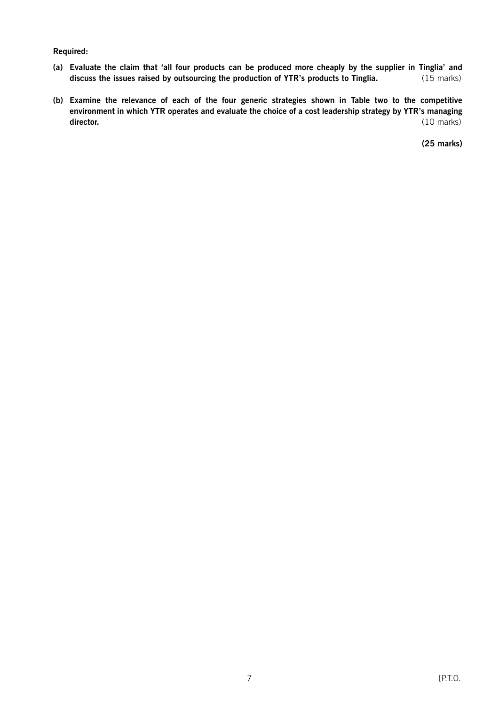# **Required:**

- **(a) Evaluate the claim that 'all four products can be produced more cheaply by the supplier in Tinglia' and discuss the issues raised by outsourcing the production of YTR's products to Tinglia.** (15 marks)
- **(b) Examine the relevance of each of the four generic strategies shown in Table two to the competitive environment in which YTR operates and evaluate the choice of a cost leadership strategy by YTR's managing director.** (10 marks) (10 marks)

**(25 marks)**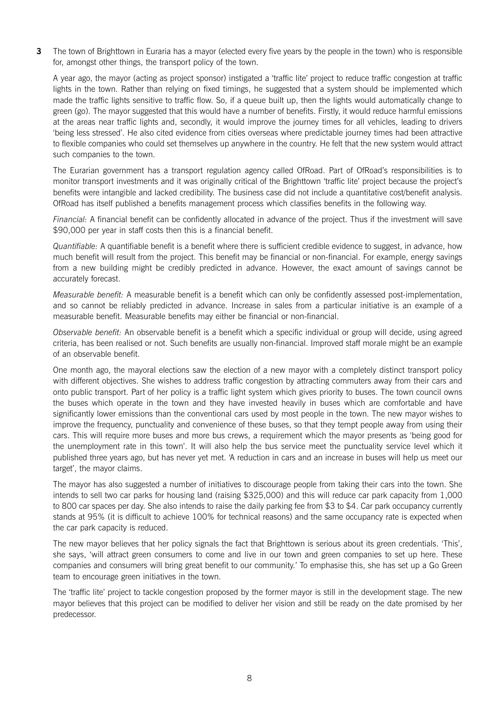**3** The town of Brighttown in Euraria has a mayor (elected every five years by the people in the town) who is responsible for, amongst other things, the transport policy of the town.

A year ago, the mayor (acting as project sponsor) instigated a 'traffic lite' project to reduce traffic congestion at traffic lights in the town. Rather than relying on fixed timings, he suggested that a system should be implemented which made the traffic lights sensitive to traffic flow. So, if a queue built up, then the lights would automatically change to green (go). The mayor suggested that this would have a number of benefits. Firstly, it would reduce harmful emissions at the areas near traffic lights and, secondly, it would improve the journey times for all vehicles, leading to drivers 'being less stressed'. He also cited evidence from cities overseas where predictable journey times had been attractive to flexible companies who could set themselves up anywhere in the country. He felt that the new system would attract such companies to the town.

The Eurarian government has a transport regulation agency called OfRoad. Part of OfRoad's responsibilities is to monitor transport investments and it was originally critical of the Brighttown 'traffic lite' project because the project's benefits were intangible and lacked credibility. The business case did not include a quantitative cost/benefit analysis. OfRoad has itself published a benefits management process which classifies benefits in the following way.

*Financial:* A financial benefit can be confidently allocated in advance of the project. Thus if the investment will save \$90,000 per year in staff costs then this is a financial benefit.

*Quantifiable:* A quantifiable benefit is a benefit where there is sufficient credible evidence to suggest, in advance, how much benefit will result from the project. This benefit may be financial or non-financial. For example, energy savings from a new building might be credibly predicted in advance. However, the exact amount of savings cannot be accurately forecast.

*Measurable benefit:* A measurable benefit is a benefit which can only be confidently assessed post-implementation, and so cannot be reliably predicted in advance. Increase in sales from a particular initiative is an example of a measurable benefit. Measurable benefits may either be financial or non-financial.

*Observable benefit:* An observable benefit is a benefit which a specific individual or group will decide, using agreed criteria, has been realised or not. Such benefits are usually non-financial. Improved staff morale might be an example of an observable benefit.

One month ago, the mayoral elections saw the election of a new mayor with a completely distinct transport policy with different objectives. She wishes to address traffic congestion by attracting commuters away from their cars and onto public transport. Part of her policy is a traffic light system which gives priority to buses. The town council owns the buses which operate in the town and they have invested heavily in buses which are comfortable and have significantly lower emissions than the conventional cars used by most people in the town. The new mayor wishes to improve the frequency, punctuality and convenience of these buses, so that they tempt people away from using their cars. This will require more buses and more bus crews, a requirement which the mayor presents as 'being good for the unemployment rate in this town'. It will also help the bus service meet the punctuality service level which it published three years ago, but has never yet met. 'A reduction in cars and an increase in buses will help us meet our target', the mayor claims.

The mayor has also suggested a number of initiatives to discourage people from taking their cars into the town. She intends to sell two car parks for housing land (raising \$325,000) and this will reduce car park capacity from 1,000 to 800 car spaces per day. She also intends to raise the daily parking fee from \$3 to \$4. Car park occupancy currently stands at 95% (it is difficult to achieve 100% for technical reasons) and the same occupancy rate is expected when the car park capacity is reduced.

The new mayor believes that her policy signals the fact that Brighttown is serious about its green credentials. 'This', she says, 'will attract green consumers to come and live in our town and green companies to set up here. These companies and consumers will bring great benefit to our community.' To emphasise this, she has set up a Go Green team to encourage green initiatives in the town.

The 'traffic lite' project to tackle congestion proposed by the former mayor is still in the development stage. The new mayor believes that this project can be modified to deliver her vision and still be ready on the date promised by her predecessor.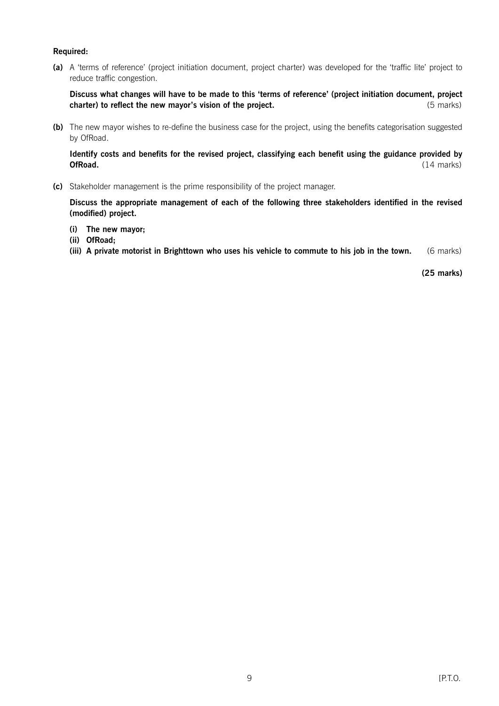#### **Required:**

**(a)** A 'terms of reference' (project initiation document, project charter) was developed for the 'traffic lite' project to reduce traffic congestion.

**Discuss what changes will have to be made to this 'terms of reference' (project initiation document, project charter) to reflect the new mayor's vision of the project. Charter Constant (5 marks)** (5 marks)

**(b)** The new mayor wishes to re-define the business case for the project, using the benefits categorisation suggested by OfRoad.

**Identify costs and benefits for the revised project, classifying each benefit using the guidance provided by OfRoad.** (14 marks)

**(c)** Stakeholder management is the prime responsibility of the project manager.

**Discuss the appropriate management of each of the following three stakeholders identified in the revised (modified) project.** 

- **(i) The new mayor;**
- **(ii) OfRoad;**
- **(iii) A private motorist in Brighttown who uses his vehicle to commute to his job in the town.** (6 marks)

**(25 marks)**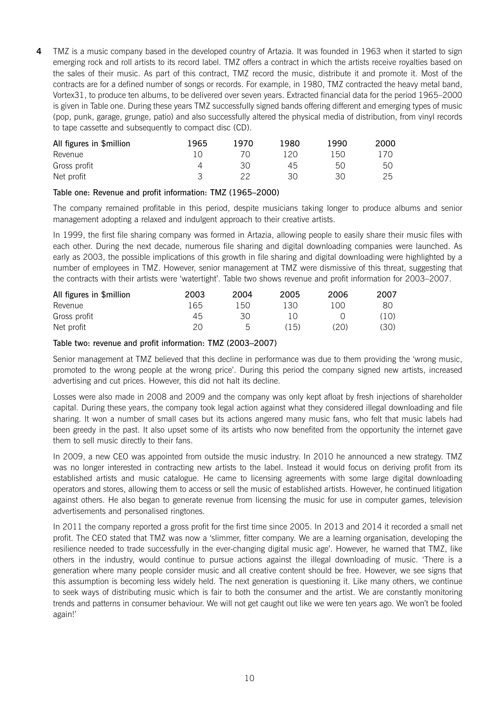**4** TMZ is a music company based in the developed country of Artazia. It was founded in 1963 when it started to sign emerging rock and roll artists to its record label. TMZ offers a contract in which the artists receive royalties based on the sales of their music. As part of this contract, TMZ record the music, distribute it and promote it. Most of the contracts are for a defined number of songs or records. For example, in 1980, TMZ contracted the heavy metal band, Vortex31, to produce ten albums, to be delivered over seven years. Extracted financial data for the period 1965–2000 is given in Table one. During these years TMZ successfully signed bands offering different and emerging types of music (pop, punk, garage, grunge, patio) and also successfully altered the physical media of distribution, from vinyl records to tape cassette and subsequently to compact disc (CD).

| All figures in \$million | 1965 | 1970 | 1980 | 1990 | 2000 |
|--------------------------|------|------|------|------|------|
| Revenue                  |      |      | 120  | 150  | 170. |
| Gross profit             |      | 30   | 45.  | 50   | 50   |
| Net profit               |      |      | 30   | 30   | 25   |

# Table one: Revenue and profit information: TMZ (1965–2000)

The company remained profitable in this period, despite musicians taking longer to produce albums and senior management adopting a relaxed and indulgent approach to their creative artists.

In 1999, the first file sharing company was formed in Artazia, allowing people to easily share their music files with each other. During the next decade, numerous file sharing and digital downloading companies were launched. As early as 2003, the possible implications of this growth in file sharing and digital downloading were highlighted by a number of employees in TMZ. However, senior management at TMZ were dismissive of this threat, suggesting that the contracts with their artists were 'watertight'. Table two shows revenue and profit information for 2003–2007.

| All figures in \$million | 2003 | 2004 | 2005 | 2006 | 2007 |
|--------------------------|------|------|------|------|------|
| Revenue                  | 165  | 150  | 130  | LOO  | 80   |
| Gross profit             | 45   | 30   |      |      | (10) |
| Net profit               |      | h    | (15) | '20) | (30) |

# Table two: revenue and profit information: TMZ (2003–2007)

Senior management at TMZ believed that this decline in performance was due to them providing the 'wrong music, promoted to the wrong people at the wrong price'. During this period the company signed new artists, increased advertising and cut prices. However, this did not halt its decline.

Losses were also made in 2008 and 2009 and the company was only kept afloat by fresh injections of shareholder capital. During these years, the company took legal action against what they considered illegal downloading and file sharing. It won a number of small cases but its actions angered many music fans, who felt that music labels had been greedy in the past. It also upset some of its artists who now benefited from the opportunity the internet gave them to sell music directly to their fans.

In 2009, a new CEO was appointed from outside the music industry. In 2010 he announced a new strategy. TMZ was no longer interested in contracting new artists to the label. Instead it would focus on deriving profit from its established artists and music catalogue. He came to licensing agreements with some large digital downloading operators and stores, allowing them to access or sell the music of established artists. However, he continued litigation against others. He also began to generate revenue from licensing the music for use in computer games, television advertisements and personalised ringtones.

In 2011 the company reported a gross profit for the first time since 2005. In 2013 and 2014 it recorded a small net profit. The CEO stated that TMZ was now a 'slimmer, fitter company. We are a learning organisation, developing the resilience needed to trade successfully in the ever-changing digital music age'. However, he warned that TMZ, like others in the industry, would continue to pursue actions against the illegal downloading of music. 'There is a generation where many people consider music and all creative content should be free. However, we see signs that this assumption is becoming less widely held. The next generation is questioning it. Like many others, we continue to seek ways of distributing music which is fair to both the consumer and the artist. We are constantly monitoring trends and patterns in consumer behaviour. We will not get caught out like we were ten years ago. We won't be fooled again!'